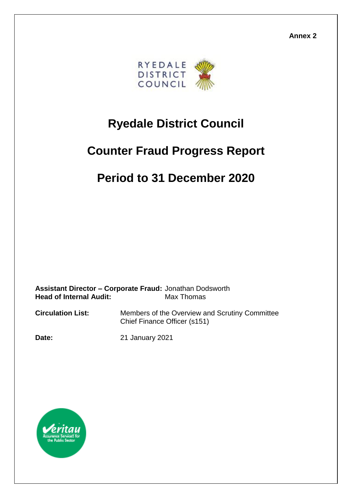**Annex 2**



# **Ryedale District Council**

# **Counter Fraud Progress Report**

## **Period to 31 December 2020**

**Assistant Director – Corporate Fraud:** Jonathan Dodsworth **Head of Internal Audit:** Max Thomas

**Circulation List:** Members of the Overview and Scrutiny Committee Chief Finance Officer (s151)

**Date:** 21 January 2021

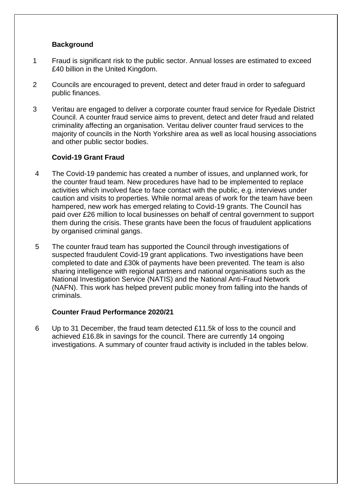#### **Background**

- 1 Fraud is significant risk to the public sector. Annual losses are estimated to exceed £40 billion in the United Kingdom.
- 2 Councils are encouraged to prevent, detect and deter fraud in order to safeguard public finances.
- 3 Veritau are engaged to deliver a corporate counter fraud service for Ryedale District Council. A counter fraud service aims to prevent, detect and deter fraud and related criminality affecting an organisation. Veritau deliver counter fraud services to the majority of councils in the North Yorkshire area as well as local housing associations and other public sector bodies.

#### **Covid-19 Grant Fraud**

- 4 The Covid-19 pandemic has created a number of issues, and unplanned work, for the counter fraud team. New procedures have had to be implemented to replace activities which involved face to face contact with the public, e.g. interviews under caution and visits to properties. While normal areas of work for the team have been hampered, new work has emerged relating to Covid-19 grants. The Council has paid over £26 million to local businesses on behalf of central government to support them during the crisis. These grants have been the focus of fraudulent applications by organised criminal gangs.
- 5 The counter fraud team has supported the Council through investigations of suspected fraudulent Covid-19 grant applications. Two investigations have been completed to date and £30k of payments have been prevented. The team is also sharing intelligence with regional partners and national organisations such as the National Investigation Service (NATIS) and the National Anti-Fraud Network (NAFN). This work has helped prevent public money from falling into the hands of criminals.

#### **Counter Fraud Performance 2020/21**

6 Up to 31 December, the fraud team detected £11.5k of loss to the council and achieved £16.8k in savings for the council. There are currently 14 ongoing investigations. A summary of counter fraud activity is included in the tables below.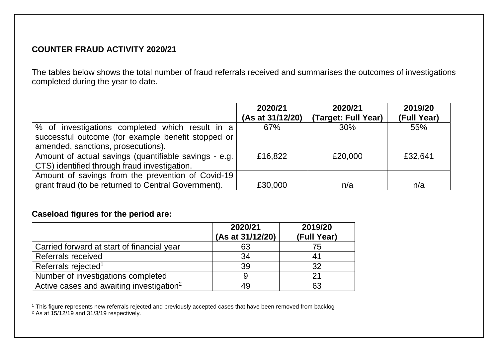### **COUNTER FRAUD ACTIVITY 2020/21**

The tables below shows the total number of fraud referrals received and summarises the outcomes of investigations completed during the year to date.

|                                                       | 2020/21          | 2020/21             | 2019/20     |
|-------------------------------------------------------|------------------|---------------------|-------------|
|                                                       | (As at 31/12/20) | (Target: Full Year) | (Full Year) |
| % of investigations completed which result in a       | 67%              | 30%                 | 55%         |
| successful outcome (for example benefit stopped or    |                  |                     |             |
| amended, sanctions, prosecutions).                    |                  |                     |             |
| Amount of actual savings (quantifiable savings - e.g. | £16,822          | £20,000             | £32,641     |
| CTS) identified through fraud investigation.          |                  |                     |             |
| Amount of savings from the prevention of Covid-19     |                  |                     |             |
| grant fraud (to be returned to Central Government).   | £30,000          | n/a                 | n/a         |

### **Caseload figures for the period are:**

|                                                      | 2020/21<br>(As at 31/12/20) | 2019/20<br>(Full Year) |
|------------------------------------------------------|-----------------------------|------------------------|
| Carried forward at start of financial year           | 63                          | 75                     |
| <b>Referrals received</b>                            | 34                          |                        |
| Referrals rejected <sup>1</sup>                      | 39                          | 32                     |
| Number of investigations completed                   |                             |                        |
| Active cases and awaiting investigation <sup>2</sup> | 49                          | 63                     |

 <sup>1</sup> This figure represents new referrals rejected and previously accepted cases that have been removed from backlog <sup>2</sup> As at 15/12/19 and 31/3/19 respectively.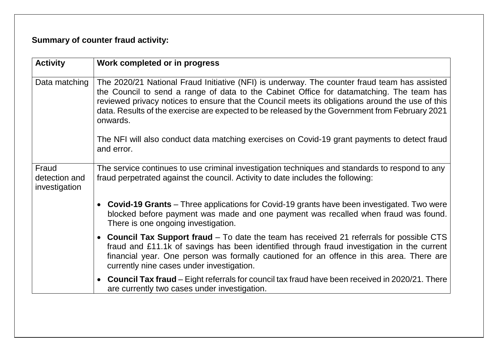### **Summary of counter fraud activity:**

| <b>Activity</b>                         | Work completed or in progress                                                                                                                                                                                                                                                                                                                                                                              |  |
|-----------------------------------------|------------------------------------------------------------------------------------------------------------------------------------------------------------------------------------------------------------------------------------------------------------------------------------------------------------------------------------------------------------------------------------------------------------|--|
| Data matching                           | The 2020/21 National Fraud Initiative (NFI) is underway. The counter fraud team has assisted<br>the Council to send a range of data to the Cabinet Office for datamatching. The team has<br>reviewed privacy notices to ensure that the Council meets its obligations around the use of this<br>data. Results of the exercise are expected to be released by the Government from February 2021<br>onwards. |  |
|                                         | The NFI will also conduct data matching exercises on Covid-19 grant payments to detect fraud<br>and error.                                                                                                                                                                                                                                                                                                 |  |
| Fraud<br>detection and<br>investigation | The service continues to use criminal investigation techniques and standards to respond to any<br>fraud perpetrated against the council. Activity to date includes the following:                                                                                                                                                                                                                          |  |
|                                         | <b>Covid-19 Grants</b> – Three applications for Covid-19 grants have been investigated. Two were<br>blocked before payment was made and one payment was recalled when fraud was found.<br>There is one ongoing investigation.                                                                                                                                                                              |  |
|                                         | • Council Tax Support fraud – To date the team has received 21 referrals for possible CTS<br>fraud and £11.1k of savings has been identified through fraud investigation in the current<br>financial year. One person was formally cautioned for an offence in this area. There are<br>currently nine cases under investigation.                                                                           |  |
|                                         | • Council Tax fraud - Eight referrals for council tax fraud have been received in 2020/21. There<br>are currently two cases under investigation.                                                                                                                                                                                                                                                           |  |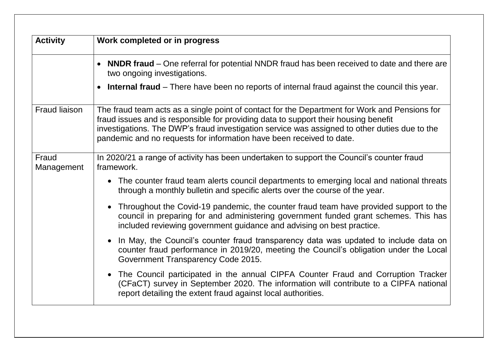| <b>Activity</b>      | Work completed or in progress                                                                                                                                                                                                                                                                                                                                 |  |  |  |
|----------------------|---------------------------------------------------------------------------------------------------------------------------------------------------------------------------------------------------------------------------------------------------------------------------------------------------------------------------------------------------------------|--|--|--|
|                      | NNDR fraud – One referral for potential NNDR fraud has been received to date and there are<br>two ongoing investigations.                                                                                                                                                                                                                                     |  |  |  |
|                      | • Internal fraud – There have been no reports of internal fraud against the council this year.                                                                                                                                                                                                                                                                |  |  |  |
| <b>Fraud liaison</b> | The fraud team acts as a single point of contact for the Department for Work and Pensions for<br>fraud issues and is responsible for providing data to support their housing benefit<br>investigations. The DWP's fraud investigation service was assigned to other duties due to the<br>pandemic and no requests for information have been received to date. |  |  |  |
| Fraud<br>Management  | In 2020/21 a range of activity has been undertaken to support the Council's counter fraud<br>framework.                                                                                                                                                                                                                                                       |  |  |  |
|                      | • The counter fraud team alerts council departments to emerging local and national threats<br>through a monthly bulletin and specific alerts over the course of the year.                                                                                                                                                                                     |  |  |  |
|                      | Throughout the Covid-19 pandemic, the counter fraud team have provided support to the<br>council in preparing for and administering government funded grant schemes. This has<br>included reviewing government guidance and advising on best practice.                                                                                                        |  |  |  |
|                      | In May, the Council's counter fraud transparency data was updated to include data on<br>counter fraud performance in 2019/20, meeting the Council's obligation under the Local<br>Government Transparency Code 2015.                                                                                                                                          |  |  |  |
|                      | The Council participated in the annual CIPFA Counter Fraud and Corruption Tracker<br>(CFaCT) survey in September 2020. The information will contribute to a CIPFA national<br>report detailing the extent fraud against local authorities.                                                                                                                    |  |  |  |